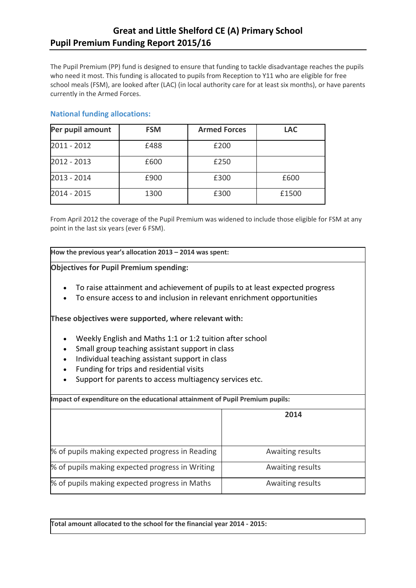## **Great and Little Shelford CE (A) Primary School Pupil Premium Funding Report 2015/16**

The Pupil Premium (PP) fund is designed to ensure that funding to tackle disadvantage reaches the pupils who need it most. This funding is allocated to pupils from Reception to Y11 who are eligible for free school meals (FSM), are looked after (LAC) (in local authority care for at least six months), or have parents currently in the Armed Forces.

### **National funding allocations:**

| Per pupil amount | <b>FSM</b> | <b>Armed Forces</b> | <b>LAC</b> |
|------------------|------------|---------------------|------------|
| $2011 - 2012$    | £488       | £200                |            |
| 2012 - 2013      | £600       | £250                |            |
| 2013 - 2014      | £900       | £300                | £600       |
| $2014 - 2015$    | 1300       | £300                | £1500      |

From April 2012 the coverage of the Pupil Premium was widened to include those eligible for FSM at any point in the last six years (ever 6 FSM).

**How the previous year's allocation 2013 – 2014 was spent:**

**Objectives for Pupil Premium spending:**

- To raise attainment and achievement of pupils to at least expected progress
- To ensure access to and inclusion in relevant enrichment opportunities

**These objectives were supported, where relevant with:**

- Weekly English and Maths 1:1 or 1:2 tuition after school
- Small group teaching assistant support in class
- Individual teaching assistant support in class
- Funding for trips and residential visits
- Support for parents to access multiagency services etc.

**Impact of expenditure on the educational attainment of Pupil Premium pupils: 2014**  $%$  of pupils making expected progress in Reading  $\vert$  Awaiting results  $%$  of pupils making expected progress in Writing  $\sim$  Awaiting results  $%$  of pupils making expected progress in Maths  $\blacksquare$  Awaiting results

**Total amount allocated to the school for the financial year 2014 - 2015:**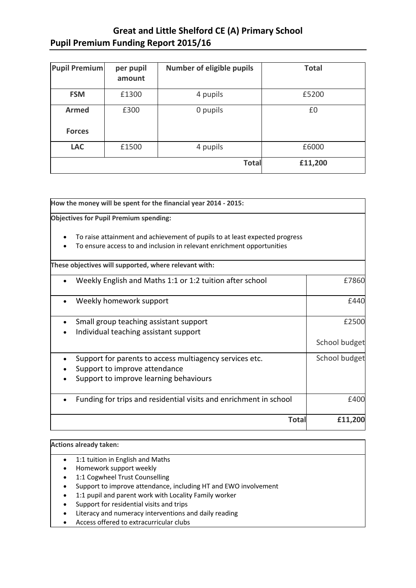# **Great and Little Shelford CE (A) Primary School Pupil Premium Funding Report 2015/16**

| <b>Pupil Premium</b> | per pupil<br>amount | <b>Number of eligible pupils</b> | <b>Total</b> |
|----------------------|---------------------|----------------------------------|--------------|
| <b>FSM</b>           | £1300               | 4 pupils                         | £5200        |
| <b>Armed</b>         | £300                | 0 pupils                         | £0           |
| <b>Forces</b>        |                     |                                  |              |
| <b>LAC</b>           | £1500               | 4 pupils                         | £6000        |
|                      |                     | <b>Total</b>                     | £11,200      |

| How the money will be spent for the financial year 2014 - 2015:                                                                                       |               |  |  |  |
|-------------------------------------------------------------------------------------------------------------------------------------------------------|---------------|--|--|--|
| <b>Objectives for Pupil Premium spending:</b>                                                                                                         |               |  |  |  |
| To raise attainment and achievement of pupils to at least expected progress<br>To ensure access to and inclusion in relevant enrichment opportunities |               |  |  |  |
| These objectives will supported, where relevant with:                                                                                                 |               |  |  |  |
| Weekly English and Maths 1:1 or 1:2 tuition after school                                                                                              | £7860         |  |  |  |
| Weekly homework support                                                                                                                               | £440          |  |  |  |
| Small group teaching assistant support<br>Individual teaching assistant support                                                                       | £2500         |  |  |  |
|                                                                                                                                                       | School budget |  |  |  |
| Support for parents to access multiagency services etc.<br>Support to improve attendance<br>Support to improve learning behaviours                    | School budget |  |  |  |
| Funding for trips and residential visits and enrichment in school                                                                                     | £400          |  |  |  |
| <b>Total</b>                                                                                                                                          | £11,200       |  |  |  |

### **Actions already taken:**

- 1:1 tuition in English and Maths
- Homework support weekly
- 1:1 Cogwheel Trust Counselling
- Support to improve attendance, including HT and EWO involvement
- 1:1 pupil and parent work with Locality Family worker
- Support for residential visits and trips
- Literacy and numeracy interventions and daily reading
- Access offered to extracurricular clubs